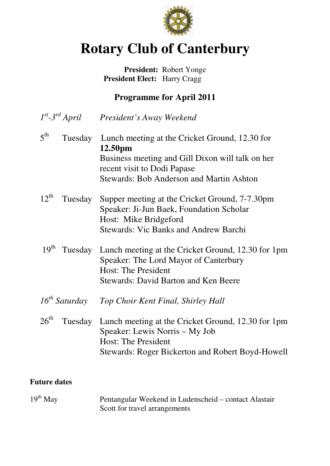

# **Rotary Club of Canterbury**

## **President:** Robert Yonge  **President Elect:** Harry Cragg

# **Programme for April 2011**

- $I^{st}$ -3<sup>rd</sup> April *st-3rd April President's Away Weekend*
- $5^{\text{th}}$ Tuesday Lunch meeting at the Cricket Ground, 12.30 for **12.50pm**  Business meeting and Gill Dixon will talk on her recent visit to Dodi Papase Stewards: Bob Anderson and Martin Ashton
- 12<sup>th</sup> Tuesday Supper meeting at the Cricket Ground, 7-7.30pm Speaker: Ji-Jun Baek, Foundation Scholar Host: Mike Bridgeford Stewards: Vic Banks and Andrew Barchi
- 19<sup>th</sup> Tuesday Lunch meeting at the Cricket Ground, 12.30 for 1pm Speaker: The Lord Mayor of Canterbury Host: The President Stewards: David Barton and Ken Beere
- *16th Saturday Top Choir Kent Final, Shirley Hall*
- 26<sup>th</sup> Tuesday Lunch meeting at the Cricket Ground, 12.30 for 1pm Speaker: Lewis Norris – My Job Host: The President Stewards: Roger Bickerton and Robert Boyd-Howell

#### **Future dates**

19th May Pentangular Weekend in Ludenscheid – contact Alastair Scott for travel arrangements